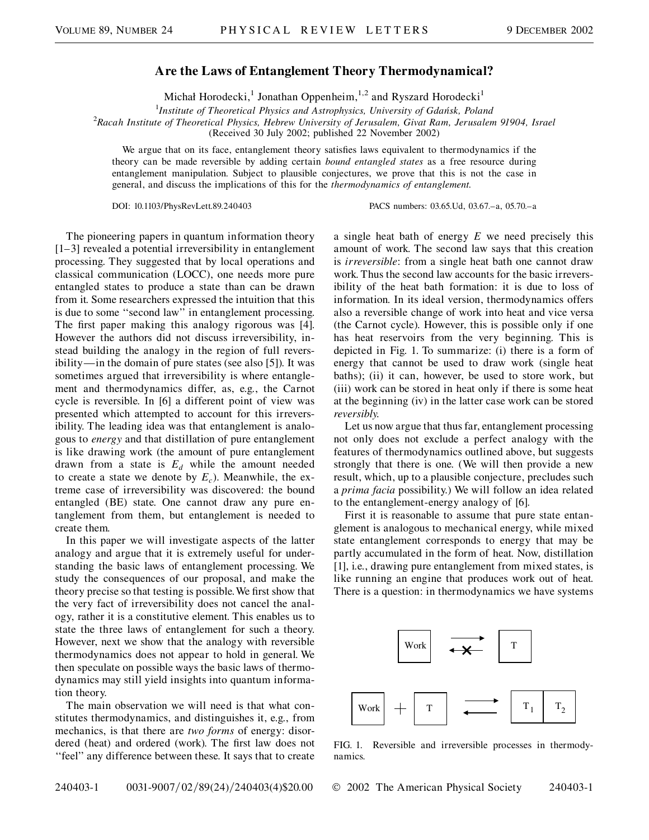## **Are the Laws of Entanglement Theory Thermodynamical?**

Michał Horodecki,<sup>1</sup> Jonathan Oppenheim,<sup>1,2</sup> and Ryszard Horodecki<sup>1</sup>

<sup>1</sup>*Institute of Theoretical Physics and Astrophysics, University of Gdansk, Poland*<br><sup>2</sup>*Bacah Institute of Theoretical Physics, Hehrou University of Jerusalam Givet Ram Jerusalem Racah Institute of Theoretical Physics, Hebrew University of Jerusalem, Givat Ram, Jerusalem 91904, Israel* (Received 30 July 2002; published 22 November 2002)

We argue that on its face, entanglement theory satisfies laws equivalent to thermodynamics if the theory can be made reversible by adding certain *bound entangled states* as a free resource during entanglement manipulation. Subject to plausible conjectures, we prove that this is not the case in general, and discuss the implications of this for the *thermodynamics of entanglement*.

DOI: 10.1103/PhysRevLett.89.240403 PACS numbers: 03.65.Ud, 03.67.–a, 05.70.–a

The pioneering papers in quantum information theory [1–3] revealed a potential irreversibility in entanglement processing. They suggested that by local operations and classical communication (LOCC), one needs more pure entangled states to produce a state than can be drawn from it. Some researchers expressed the intuition that this is due to some ''second law'' in entanglement processing. The first paper making this analogy rigorous was [4]. However the authors did not discuss irreversibility, instead building the analogy in the region of full reversibility—in the domain of pure states (see also [5]). It was sometimes argued that irreversibility is where entanglement and thermodynamics differ, as, e.g., the Carnot cycle is reversible. In [6] a different point of view was presented which attempted to account for this irreversibility. The leading idea was that entanglement is analogous to *energy* and that distillation of pure entanglement is like drawing work (the amount of pure entanglement drawn from a state is  $E_d$  while the amount needed to create a state we denote by  $E_c$ ). Meanwhile, the extreme case of irreversibility was discovered: the bound entangled (BE) state. One cannot draw any pure entanglement from them, but entanglement is needed to create them.

In this paper we will investigate aspects of the latter analogy and argue that it is extremely useful for understanding the basic laws of entanglement processing. We study the consequences of our proposal, and make the theory precise so that testing is possible.We first show that the very fact of irreversibility does not cancel the analogy, rather it is a constitutive element. This enables us to state the three laws of entanglement for such a theory. However, next we show that the analogy with reversible thermodynamics does not appear to hold in general. We then speculate on possible ways the basic laws of thermodynamics may still yield insights into quantum information theory.

The main observation we will need is that what constitutes thermodynamics, and distinguishes it, e.g., from mechanics, is that there are *two forms* of energy: disordered (heat) and ordered (work). The first law does not ''feel'' any difference between these. It says that to create a single heat bath of energy *E* we need precisely this amount of work. The second law says that this creation is *irreversible*: from a single heat bath one cannot draw work. Thus the second law accounts for the basic irreversibility of the heat bath formation: it is due to loss of information. In its ideal version, thermodynamics offers also a reversible change of work into heat and vice versa (the Carnot cycle). However, this is possible only if one has heat reservoirs from the very beginning. This is depicted in Fig. 1. To summarize: (i) there is a form of energy that cannot be used to draw work (single heat baths); (ii) it can, however, be used to store work, but (iii) work can be stored in heat only if there is some heat at the beginning (iv) in the latter case work can be stored *reversibly*.

Let us now argue that thus far, entanglement processing not only does not exclude a perfect analogy with the features of thermodynamics outlined above, but suggests strongly that there is one. (We will then provide a new result, which, up to a plausible conjecture, precludes such a *prima facia* possibility.) We will follow an idea related to the entanglement-energy analogy of [6].

First it is reasonable to assume that pure state entanglement is analogous to mechanical energy, while mixed state entanglement corresponds to energy that may be partly accumulated in the form of heat. Now, distillation [1], i.e., drawing pure entanglement from mixed states, is like running an engine that produces work out of heat. There is a question: in thermodynamics we have systems



FIG. 1. Reversible and irreversible processes in thermodynamics.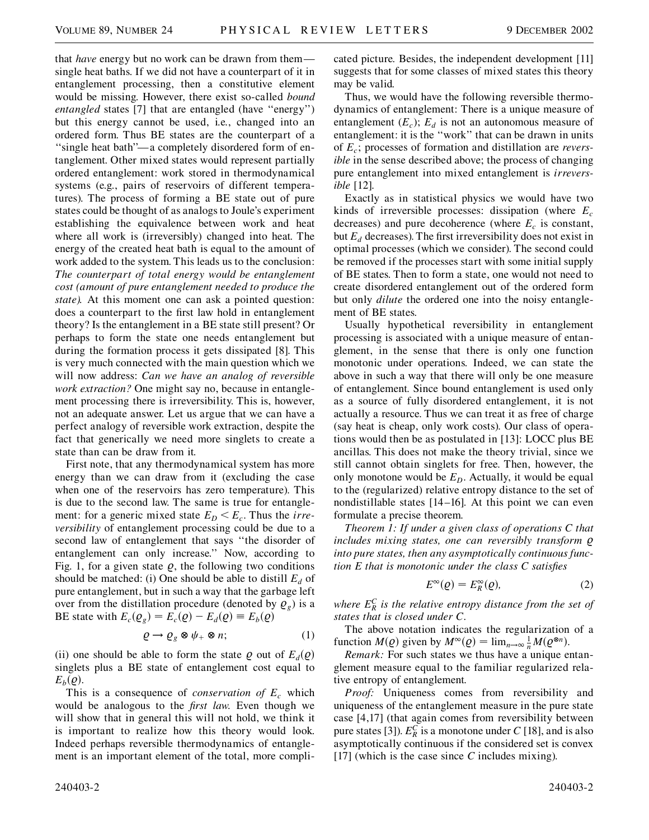that *have* energy but no work can be drawn from them single heat baths. If we did not have a counterpart of it in entanglement processing, then a constitutive element would be missing. However, there exist so-called *bound entangled* states [7] that are entangled (have ''energy'') but this energy cannot be used, i.e., changed into an ordered form. Thus BE states are the counterpart of a ''single heat bath''—a completely disordered form of entanglement. Other mixed states would represent partially ordered entanglement: work stored in thermodynamical systems (e.g., pairs of reservoirs of different temperatures). The process of forming a BE state out of pure states could be thought of as analogs to Joule's experiment establishing the equivalence between work and heat where all work is (irreversibly) changed into heat. The energy of the created heat bath is equal to the amount of work added to the system. This leads us to the conclusion: *The counterpart of total energy would be entanglement cost (amount of pure entanglement needed to produce the state).* At this moment one can ask a pointed question: does a counterpart to the first law hold in entanglement theory? Is the entanglement in a BE state still present? Or perhaps to form the state one needs entanglement but during the formation process it gets dissipated [8]. This is very much connected with the main question which we will now address: *Can we have an analog of reversible work extraction?* One might say no, because in entanglement processing there is irreversibility. This is, however, not an adequate answer. Let us argue that we can have a perfect analogy of reversible work extraction, despite the fact that generically we need more singlets to create a state than can be draw from it.

First note, that any thermodynamical system has more energy than we can draw from it (excluding the case when one of the reservoirs has zero temperature). This is due to the second law. The same is true for entanglement: for a generic mixed state  $E_D < E_c$ . Thus the *irreversibility* of entanglement processing could be due to a second law of entanglement that says ''the disorder of entanglement can only increase.'' Now, according to Fig. 1, for a given state  $\varrho$ , the following two conditions should be matched: (i) One should be able to distill  $E_d$  of pure entanglement, but in such a way that the garbage left over from the distillation procedure (denoted by  $\varrho_g$ ) is a BE state with  $E_c(Q_g) = E_c(Q) - E_d(Q) \equiv E_b(Q)$ 

$$
\varrho \to \varrho_g \otimes \psi_+ \otimes n; \tag{1}
$$

(ii) one should be able to form the state  $\varrho$  out of  $E_d(\varrho)$ singlets plus a BE state of entanglement cost equal to  $E_b(\varrho)$ .

This is a consequence of *conservation of*  $E_c$  which would be analogous to the *first law*. Even though we will show that in general this will not hold, we think it is important to realize how this theory would look. Indeed perhaps reversible thermodynamics of entanglement is an important element of the total, more complicated picture. Besides, the independent development [11] suggests that for some classes of mixed states this theory may be valid.

Thus, we would have the following reversible thermodynamics of entanglement: There is a unique measure of entanglement  $(E_c)$ ;  $E_d$  is not an autonomous measure of entanglement: it is the ''work'' that can be drawn in units of *Ec*; processes of formation and distillation are *reversible* in the sense described above; the process of changing pure entanglement into mixed entanglement is *irreversible* [12].

Exactly as in statistical physics we would have two kinds of irreversible processes: dissipation (where *Ec* decreases) and pure decoherence (where  $E_c$  is constant, but  $E_d$  decreases). The first irreversibility does not exist in optimal processes (which we consider). The second could be removed if the processes start with some initial supply of BE states. Then to form a state, one would not need to create disordered entanglement out of the ordered form but only *dilute* the ordered one into the noisy entanglement of BE states.

Usually hypothetical reversibility in entanglement processing is associated with a unique measure of entanglement, in the sense that there is only one function monotonic under operations. Indeed, we can state the above in such a way that there will only be one measure of entanglement. Since bound entanglement is used only as a source of fully disordered entanglement, it is not actually a resource. Thus we can treat it as free of charge (say heat is cheap, only work costs). Our class of operations would then be as postulated in [13]: LOCC plus BE ancillas. This does not make the theory trivial, since we still cannot obtain singlets for free. Then, however, the only monotone would be  $E<sub>D</sub>$ . Actually, it would be equal to the (regularized) relative entropy distance to the set of nondistillable states [14–16]. At this point we can even formulate a precise theorem.

*Theorem 1: If under a given class of operations C that includes mixing states, one can reversibly transform*  $\varrho$ *into pure states, then any asymptotically continuous function E that is monotonic under the class C satisfies*

$$
E^{\infty}(Q) = E_R^{\infty}(Q), \tag{2}
$$

*where EC <sup>R</sup> is the relative entropy distance from the set of states that is closed under C*.

The above notation indicates the regularization of a function  $M(\varrho)$  given by  $M^{\infty}(\varrho) = \lim_{n \to \infty} \frac{1}{n} M(\varrho^{\otimes n})$ .

*Remark:* For such states we thus have a unique entanglement measure equal to the familiar regularized relative entropy of entanglement.

*Proof:* Uniqueness comes from reversibility and uniqueness of the entanglement measure in the pure state case [4,17] (that again comes from reversibility between pure states [3]).  $E_R^C$  is a monotone under *C* [18], and is also asymptotically continuous if the considered set is convex [17] (which is the case since *C* includes mixing).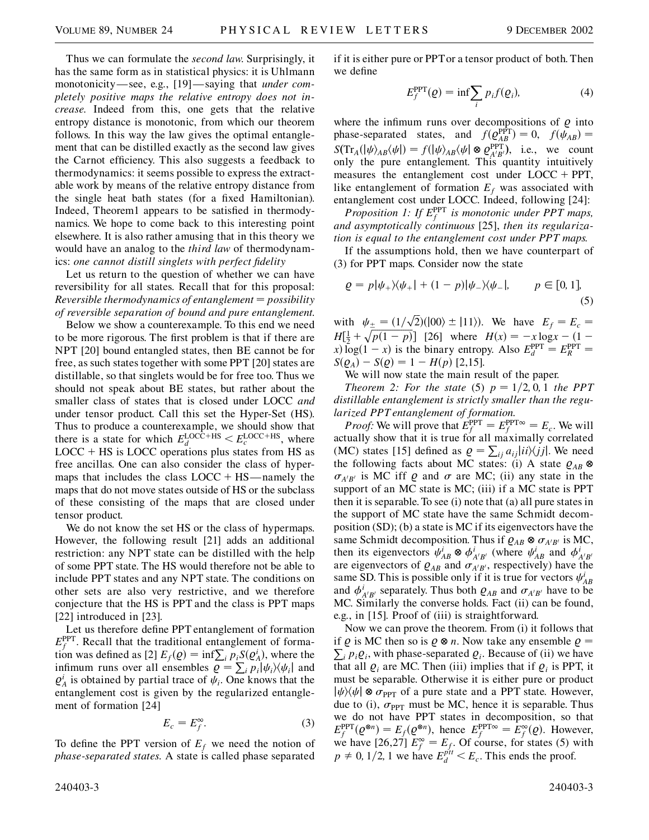Thus we can formulate the *second law*. Surprisingly, it has the same form as in statistical physics: it is Uhlmann monotonicity—see, e.g., [19]—saying that *under completely positive maps the relative entropy does not increase*. Indeed from this, one gets that the relative entropy distance is monotonic, from which our theorem follows. In this way the law gives the optimal entanglement that can be distilled exactly as the second law gives the Carnot efficiency. This also suggests a feedback to thermodynamics: it seems possible to express the extractable work by means of the relative entropy distance from the single heat bath states (for a fixed Hamiltonian). Indeed, Theorem1 appears to be satisfied in thermodynamics. We hope to come back to this interesting point elsewhere. It is also rather amusing that in this theory we would have an analog to the *third law* of thermodynamics: *one cannot distill singlets with perfect fidelity*

Let us return to the question of whether we can have reversibility for all states. Recall that for this proposal: *Reversible thermodynamics of entanglement possibility of reversible separation of bound and pure entanglement*.

Below we show a counterexample. To this end we need to be more rigorous. The first problem is that if there are NPT [20] bound entangled states, then BE cannot be for free, as such states together with some PPT [20] states are distillable, so that singlets would be for free too. Thus we should not speak about BE states, but rather about the smaller class of states that is closed under LOCC *and* under tensor product. Call this set the Hyper-Set (HS). Thus to produce a counterexample, we should show that there is a state for which  $E_d^{\text{LOCC+HS}} < E_c^{\text{LOCC+HS}}$ , where  $LOCC + HS$  is  $LOCC$  operations plus states from HS as free ancillas. One can also consider the class of hypermaps that includes the class  $LOCC + HS$ —namely the maps that do not move states outside of HS or the subclass of these consisting of the maps that are closed under tensor product.

We do not know the set HS or the class of hypermaps. However, the following result [21] adds an additional restriction: any NPT state can be distilled with the help of some PPT state. The HS would therefore not be able to include PPT states and any NPT state. The conditions on other sets are also very restrictive, and we therefore conjecture that the HS is PPT and the class is PPT maps [22] introduced in [23].

Let us therefore define PPT entanglement of formation  $E_f^{\text{PPT}}$ . Recall that the traditional entanglement of formation was defined as [2]  $E_f(\mathbf{Q}) = \inf \sum_i p_i S(\mathbf{Q}_A^i)$ , where the infimum runs over all ensembles  $Q = \sum_i p_i \psi_i \rangle \langle \psi_i |$  and  $Q_A^i$  is obtained by partial trace of  $\psi_i$ . One knows that the entanglement cost is given by the regularized entanglement of formation [24]

$$
E_c = E_f^{\infty}.
$$
 (3)

To define the PPT version of  $E_f$  we need the notion of *phase-separated states*. A state is called phase separated if it is either pure or PPTor a tensor product of both. Then we define

$$
E_f^{\text{PPT}}(Q) = \inf \sum_i p_i f(Q_i), \tag{4}
$$

where the infimum runs over decompositions of  $\rho$  into phase-separated states, and  $f(Q_{AB}^{PPT}) = 0$ ,  $f(\psi_{AB}) =$  $S(\text{Tr}_A(|\psi\rangle_{AB}\langle\psi|) = f(|\psi\rangle_{AB}\langle\psi| \otimes \varrho_{A'B'}^{\text{PPT}})$ , i.e., we count only the pure entanglement. This quantity intuitively measures the entanglement cost under  $LOCC + PPT$ , like entanglement of formation  $E_f$  was associated with entanglement cost under LOCC. Indeed, following [24]:

*Proposition 1: If*  $E_f^{\text{PPT}}$  *is monotonic under PPT maps, and asymptotically continuous* [25], *then its regularization is equal to the entanglement cost under PPT maps.*

If the assumptions hold, then we have counterpart of (3) for PPT maps. Consider now the state

$$
\varrho = p|\psi_{+}\rangle\langle\psi_{+}| + (1-p)|\psi_{-}\rangle\langle\psi_{-}|, \qquad p \in [0, 1],
$$
\n(5)

with  $\psi_{\pm} = (1/\sqrt{2})(|00\rangle \pm |11\rangle)$ . We have  $E_f = E_c$  $H\left[\frac{1}{2} + \sqrt{p(1-p)}\right]$  [26] where  $H(x) = -x\log x - (1$  $f(x)$  log(1 – *x*) is the binary entropy. Also  $E_d^{\text{PPT}} = E_R^{\text{PPT}} =$  $S(\mathcal{Q}_A) - S(\mathcal{Q}) = 1 - H(p)$  [2,15].

We will now state the main result of the paper.

*Theorem 2: For the state* (5)  $p = 1/2, 0, 1$  *the PPT distillable entanglement is strictly smaller than the regularized PPT entanglement of formation*.

*Proof:* We will prove that  $E_f^{\text{PPT}} = E_f^{\text{PPT}\infty} = E_c$ . We will actually show that it is true for all maximally correlated (MC) states [15] defined as  $\rho = \sum_{ij} a_{ij} |ii\rangle\langle jj|$ . We need the following facts about MC states: (i) A state  $\rho_{AB} \otimes$  $\sigma_{A'B'}$  is MC iff *Q* and  $\sigma$  are MC; (ii) any state in the support of an MC state is MC; (iii) if a MC state is PPT then it is separable. To see (i) note that (a) all pure states in the support of MC state have the same Schmidt decomposition (SD); (b) a state is MC if its eigenvectors have the same Schmidt decomposition. Thus if  $\rho_{AB} \otimes \sigma_{A'B'}$  is MC, then its eigenvectors  $\psi_{AB}^i \otimes \phi_{A'B'}^i$  (where  $\psi_{AB}^i$  and  $\phi_{A'B'}^i$ are eigenvectors of  $\varrho_{AB}$  and  $\sigma_{A'B'}$ , respectively) have the same SD. This is possible only if it is true for vectors  $\psi_{AB}^i$ and  $\phi_{A'B'}^i$  separately. Thus both  $\varrho_{AB}$  and  $\sigma_{A'B'}$  have to be MC. Similarly the converse holds. Fact (ii) can be found, e.g., in [15]. Proof of (iii) is straightforward.

Now we can prove the theorem. From (i) it follows that if  $\varrho$  is MC then so is  $\varrho \otimes n$ . Now take any ensemble  $\varrho =$  $\sum_i p_i \varrho_i$ , with phase-separated  $\varrho_i$ . Because of (ii) we have that all  $\varrho_i$  are MC. Then (iii) implies that if  $\varrho_i$  is PPT, it must be separable. Otherwise it is either pure or product  $|\psi\rangle\langle\psi| \otimes \sigma_{\text{PPT}}$  of a pure state and a PPT state. However, due to (i),  $\sigma_{\text{PPT}}$  must be MC, hence it is separable. Thus we do not have PPT states in decomposition, so that  $E_f^{\text{PPT}}(e^{\otimes n}) = E_f(e^{\otimes n}),$  hence  $E_f^{\text{PPT}\infty} = E_f^{\infty}(e)$ . However, we have [26,27]  $E_f^{\infty} = E_f$ . Of course, for states (5) with  $p \neq 0, 1/2, 1$  we have  $E_d^{p\hat{i}t} < E_c$ . This ends the proof.